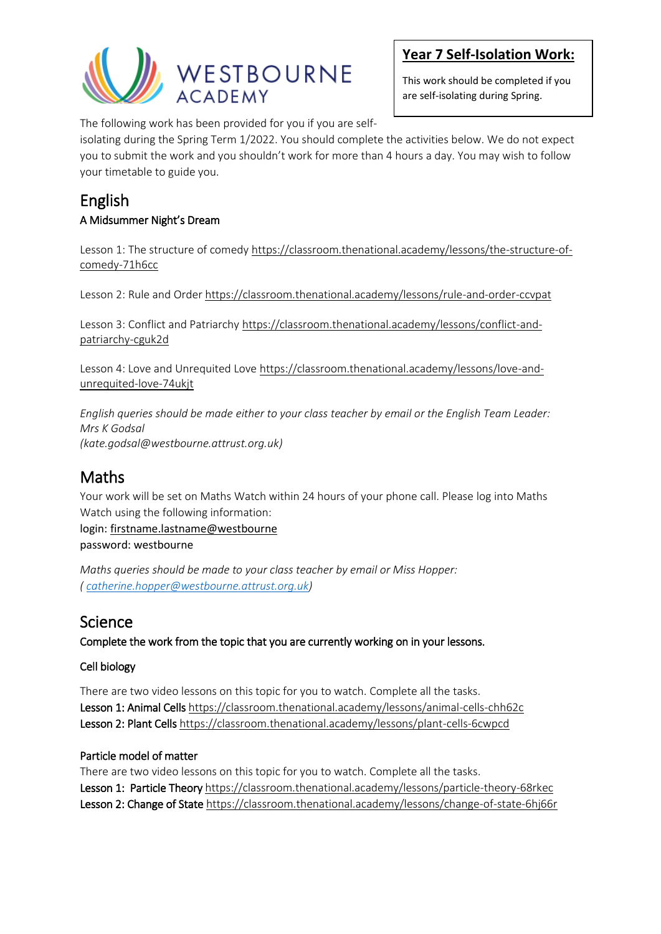

This work should be completed if you are self-isolating during Spring.

The following work has been provided for you if you are self-

isolating during the Spring Term 1/2022. You should complete the activities below. We do not expect you to submit the work and you shouldn't work for more than 4 hours a day. You may wish to follow your timetable to guide you.

## English A Midsummer Night's Dream

Lesson 1: The structure of comed[y https://classroom.thenational.academy/lessons/the-structure-of](https://classroom.thenational.academy/lessons/the-structure-of-comedy-71h6cc)[comedy-71h6cc](https://classroom.thenational.academy/lessons/the-structure-of-comedy-71h6cc)

Lesson 2: Rule and Order<https://classroom.thenational.academy/lessons/rule-and-order-ccvpat>

Lesson 3: Conflict and Patriarchy [https://classroom.thenational.academy/lessons/conflict-and](https://classroom.thenational.academy/lessons/conflict-and-patriarchy-cguk2d)[patriarchy-cguk2d](https://classroom.thenational.academy/lessons/conflict-and-patriarchy-cguk2d)

Lesson 4: Love and Unrequited Love [https://classroom.thenational.academy/lessons/love-and](https://classroom.thenational.academy/lessons/love-and-unrequited-love-74ukjt)[unrequited-love-74ukjt](https://classroom.thenational.academy/lessons/love-and-unrequited-love-74ukjt)

*English queries should be made either to your class teacher by email or the English Team Leader: Mrs K Godsal (kate.godsal@westbourne.attrust.org.uk)*

# Maths

Your work will be set on Maths Watch within 24 hours of your phone call. Please log into Maths Watch using the following information:

login: [firstname.lastname@westbourne](mailto:firstname.lastname@westbourne) password: westbourne

*Maths queries should be made to your class teacher by email or Miss Hopper: ( [catherine.hopper@westbourne.attrust.org.uk\)](mailto:catherine.hopper@westbourne.attrust.org.uk)*

# Science

Complete the work from the topic that you are currently working on in your lessons.

#### Cell biology

There are two video lessons on this topic for you to watch. Complete all the tasks. Lesson 1: Animal Cell[s https://classroom.thenational.academy/lessons/animal-cells-chh62c](https://classroom.thenational.academy/lessons/animal-cells-chh62c) Lesson 2: Plant Cell[s https://classroom.thenational.academy/lessons/plant-cells-6cwpcd](https://classroom.thenational.academy/lessons/plant-cells-6cwpcd)

#### Particle model of matter

There are two video lessons on this topic for you to watch. Complete all the tasks. Lesson 1: Particle Theory<https://classroom.thenational.academy/lessons/particle-theory-68rkec> Lesson 2: Change of Stat[e https://classroom.thenational.academy/lessons/change-of-state-6hj66r](https://classroom.thenational.academy/lessons/change-of-state-6hj66r)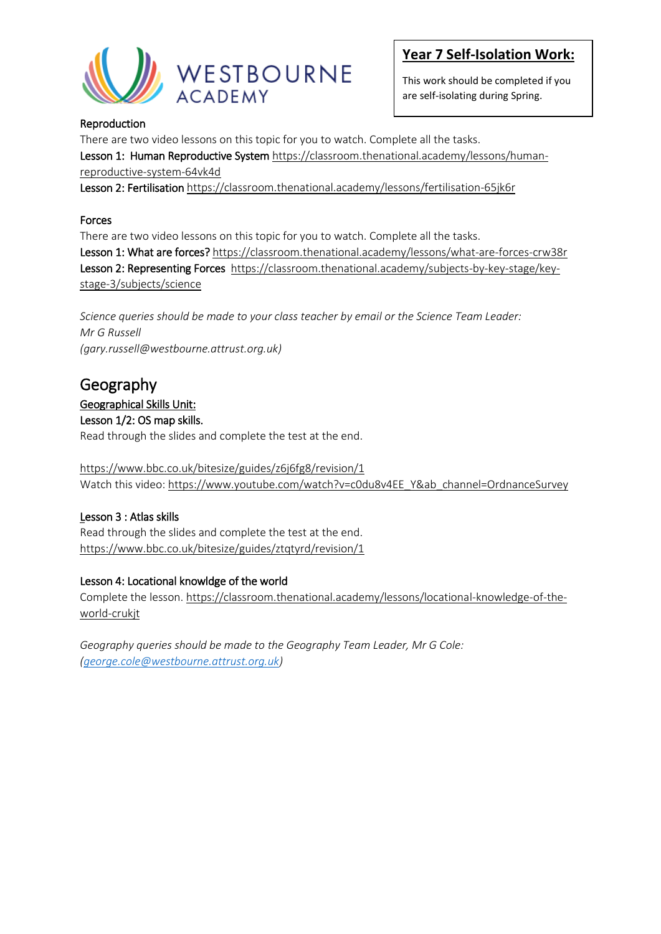

This work should be completed if you are self-isolating during Spring.

#### Reproduction

There are two video lessons on this topic for you to watch. Complete all the tasks.

Lesson 1: Human Reproductive System [https://classroom.thenational.academy/lessons/human](https://classroom.thenational.academy/lessons/human-reproductive-system-64vk4d)[reproductive-system-64vk4d](https://classroom.thenational.academy/lessons/human-reproductive-system-64vk4d)

Lesson 2: Fertilisatio[n https://classroom.thenational.academy/lessons/fertilisation-65jk6r](https://classroom.thenational.academy/lessons/fertilisation-65jk6r)

#### Forces

There are two video lessons on this topic for you to watch. Complete all the tasks.

Lesson 1: What are forces[? https://classroom.thenational.academy/lessons/what-are-forces-crw38r](https://classroom.thenational.academy/lessons/what-are-forces-crw38r) Lesson 2: Representing Forces [https://classroom.thenational.academy/subjects-by-key-stage/key](https://classroom.thenational.academy/subjects-by-key-stage/key-stage-3/subjects/science)[stage-3/subjects/science](https://classroom.thenational.academy/subjects-by-key-stage/key-stage-3/subjects/science)

*Science queries should be made to your class teacher by email or the Science Team Leader: Mr G Russell (gary.russell@westbourne.attrust.org.uk)*

# Geography

#### Geographical Skills Unit:

Lesson 1/2: OS map skills.

Read through the slides and complete the test at the end.

<https://www.bbc.co.uk/bitesize/guides/z6j6fg8/revision/1> Watch this video: [https://www.youtube.com/watch?v=c0du8v4EE\\_Y&ab\\_channel=OrdnanceSurvey](https://www.youtube.com/watch?v=c0du8v4EE_Y&ab_channel=OrdnanceSurvey)

#### Lesson 3 : Atlas skills

Read through the slides and complete the test at the end. <https://www.bbc.co.uk/bitesize/guides/ztqtyrd/revision/1>

#### Lesson 4: Locational knowldge of the world

Complete the lesson. [https://classroom.thenational.academy/lessons/locational-knowledge-of-the](https://classroom.thenational.academy/lessons/locational-knowledge-of-the-world-crukjt)[world-crukjt](https://classroom.thenational.academy/lessons/locational-knowledge-of-the-world-crukjt)

*Geography queries should be made to the Geography Team Leader, Mr G Cole: [\(george.cole@westbourne.attrust.org.uk\)](mailto:george.cole@westbourne.attrust.org.uk)*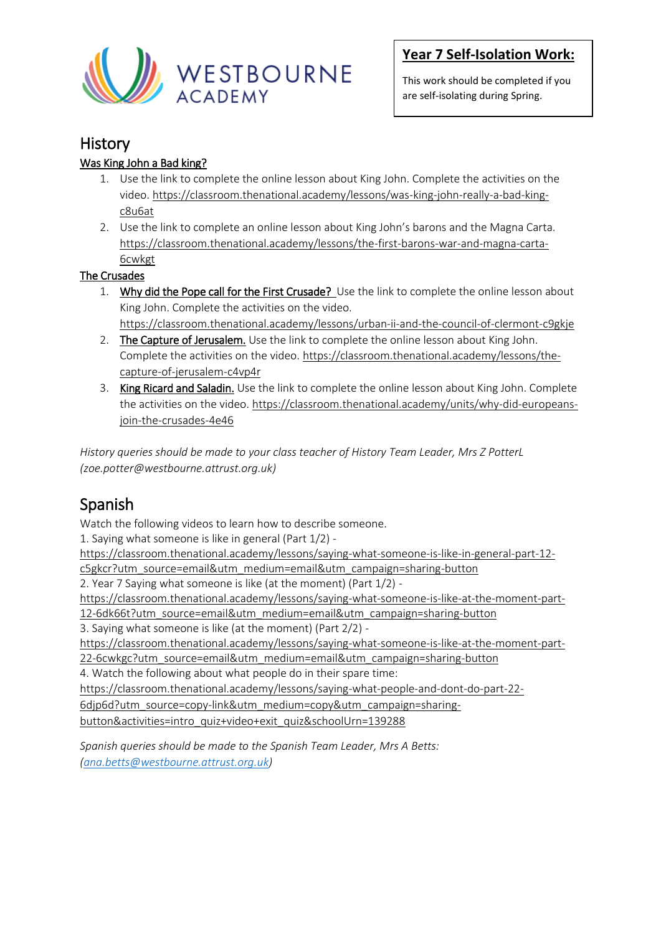

This work should be completed if you are self-isolating during Spring.

## **History**

#### Was King John a Bad king?

- 1. Use the link to complete the online lesson about King John. Complete the activities on the video. [https://classroom.thenational.academy/lessons/was-king-john-really-a-bad-king](https://classroom.thenational.academy/lessons/was-king-john-really-a-bad-king-c8u6at)[c8u6at](https://classroom.thenational.academy/lessons/was-king-john-really-a-bad-king-c8u6at)
- 2. Use the link to complete an online lesson about King John's barons and the Magna Carta. [https://classroom.thenational.academy/lessons/the-first-barons-war-and-magna-carta-](https://classroom.thenational.academy/lessons/the-first-barons-war-and-magna-carta-6cwkgt)[6cwkgt](https://classroom.thenational.academy/lessons/the-first-barons-war-and-magna-carta-6cwkgt)

#### The Crusades

- 1. Why did the Pope call for the First Crusade? Use the link to complete the online lesson about King John. Complete the activities on the video.
- <https://classroom.thenational.academy/lessons/urban-ii-and-the-council-of-clermont-c9gkje> 2. The Capture of Jerusalem. Use the link to complete the online lesson about King John. Complete the activities on the video[. https://classroom.thenational.academy/lessons/the-](https://classroom.thenational.academy/lessons/the-capture-of-jerusalem-c4vp4r)
- [capture-of-jerusalem-c4vp4r](https://classroom.thenational.academy/lessons/the-capture-of-jerusalem-c4vp4r)
- 3. King Ricard and Saladin. Use the link to complete the online lesson about King John. Complete the activities on the video. [https://classroom.thenational.academy/units/why-did-europeans](https://classroom.thenational.academy/units/why-did-europeans-join-the-crusades-4e46)[join-the-crusades-4e46](https://classroom.thenational.academy/units/why-did-europeans-join-the-crusades-4e46)

*History queries should be made to your class teacher of History Team Leader, Mrs Z PotterL (zoe.potter@westbourne.attrust.org.uk)*

# Spanish

Watch the following videos to learn how to describe someone.

1. Saying what someone is like in general (Part 1/2) -

[https://classroom.thenational.academy/lessons/saying-what-someone-is-like-in-general-part-12](https://classroom.thenational.academy/lessons/saying-what-someone-is-like-in-general-part-12-c5gkcr?utm_source=email&utm_medium=email&utm_campaign=sharing-button) [c5gkcr?utm\\_source=email&utm\\_medium=email&utm\\_campaign=sharing-button](https://classroom.thenational.academy/lessons/saying-what-someone-is-like-in-general-part-12-c5gkcr?utm_source=email&utm_medium=email&utm_campaign=sharing-button)

2. Year 7 Saying what someone is like (at the moment) (Part 1/2) -

[https://classroom.thenational.academy/lessons/saying-what-someone-is-like-at-the-moment-part-](https://classroom.thenational.academy/lessons/saying-what-someone-is-like-at-the-moment-part-12-6dk66t?utm_source=email&utm_medium=email&utm_campaign=sharing-button)

[12-6dk66t?utm\\_source=email&utm\\_medium=email&utm\\_campaign=sharing-button](https://classroom.thenational.academy/lessons/saying-what-someone-is-like-at-the-moment-part-12-6dk66t?utm_source=email&utm_medium=email&utm_campaign=sharing-button)

3. Saying what someone is like (at the moment) (Part 2/2) -

[https://classroom.thenational.academy/lessons/saying-what-someone-is-like-at-the-moment-part-](https://classroom.thenational.academy/lessons/saying-what-someone-is-like-at-the-moment-part-22-6cwkgc?utm_source=email&utm_medium=email&utm_campaign=sharing-button)

[22-6cwkgc?utm\\_source=email&utm\\_medium=email&utm\\_campaign=sharing-button](https://classroom.thenational.academy/lessons/saying-what-someone-is-like-at-the-moment-part-22-6cwkgc?utm_source=email&utm_medium=email&utm_campaign=sharing-button)

4. Watch the following about what people do in their spare time:

[https://classroom.thenational.academy/lessons/saying-what-people-and-dont-do-part-22-](https://classroom.thenational.academy/lessons/saying-what-people-and-dont-do-part-22-6djp6d?utm_source=copy-link&utm_medium=copy&utm_campaign=sharing-button&activities=intro_quiz+video+exit_quiz&schoolUrn=139288)

[6djp6d?utm\\_source=copy-link&utm\\_medium=copy&utm\\_campaign=sharing-](https://classroom.thenational.academy/lessons/saying-what-people-and-dont-do-part-22-6djp6d?utm_source=copy-link&utm_medium=copy&utm_campaign=sharing-button&activities=intro_quiz+video+exit_quiz&schoolUrn=139288)

[button&activities=intro\\_quiz+video+exit\\_quiz&schoolUrn=139288](https://classroom.thenational.academy/lessons/saying-what-people-and-dont-do-part-22-6djp6d?utm_source=copy-link&utm_medium=copy&utm_campaign=sharing-button&activities=intro_quiz+video+exit_quiz&schoolUrn=139288)

*Spanish queries should be made to the Spanish Team Leader, Mrs A Betts: [\(ana.betts@westbourne.attrust.org.uk\)](mailto:ana.betts@westbourne.attrust.org.uk)*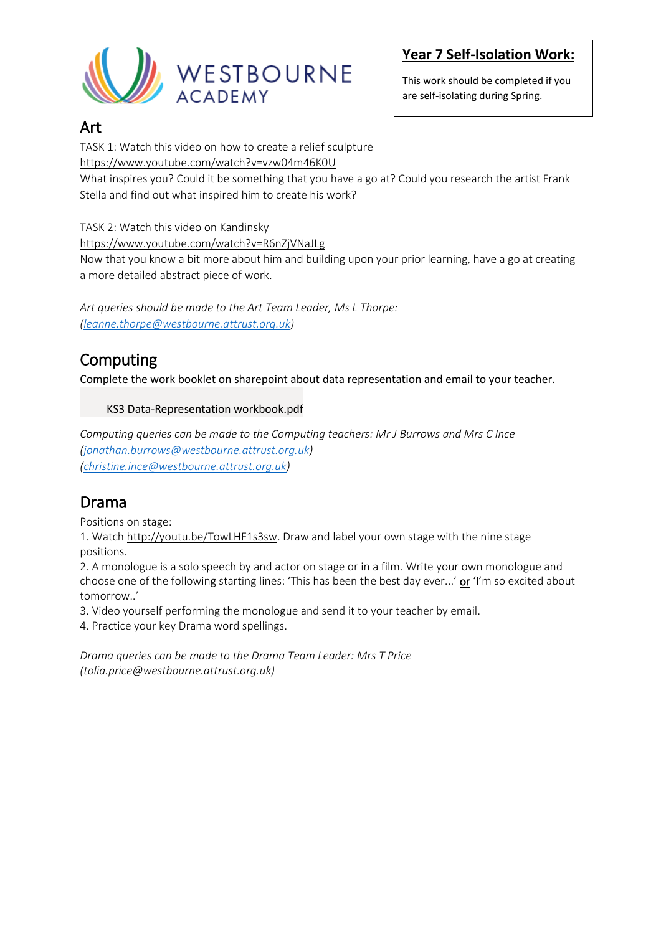

This work should be completed if you are self-isolating during Spring.

## Art

TASK 1: Watch this video on how to create a relief sculpture

<https://www.youtube.com/watch?v=vzw04m46K0U>

What inspires you? Could it be something that you have a go at? Could you research the artist Frank Stella and find out what inspired him to create his work?

TASK 2: Watch this video on Kandinsky

<https://www.youtube.com/watch?v=R6nZjVNaJLg>

Now that you know a bit more about him and building upon your prior learning, have a go at creating a more detailed abstract piece of work.

*Art queries should be made to the Art Team Leader, Ms L Thorpe: [\(leanne.thorpe@westbourne.attrust.org.uk\)](mailto:leanne.thorpe@westbourne.attrust.org.uk)*

# Computing

Complete the work booklet on sharepoint about data representation and email to your teacher.

#### [KS3 Data-Representation workbook.pdf](https://westbourneacademy.sharepoint.com/Computing%20Resources/Forms/AllItems.aspx?id=%2FComputing%20Resources%2F%5FYear%207%2F03%20Binary%20Bits%20and%20Bobs%2FIsolation%20work%20for%20unit%2FKS3%20Data%2DRepresentation%20workbook%2Epdf&parent=%2FComputing%20Resources%2F%5FYear%207%2F03%20Binary%20Bits%20and%20Bobs%2FIsolation%20work%20for%20unit)

*Computing queries can be made to the Computing teachers: Mr J Burrows and Mrs C Ince [\(jonathan.burrows@westbourne.attrust.org.uk\)](mailto:jonathan.burrows@westbourne.attrust.org.uk) [\(christine.ince@westbourne.attrust.org.uk\)](mailto:christine.ince@westbourne.attrust.org.uk)*

# Drama

Positions on stage:

1. Watch [http://youtu.be/TowLHF1s3sw.](http://youtu.be/TowLHF1s3sw) Draw and label your own stage with the nine stage positions.

2. A monologue is a solo speech by and actor on stage or in a film. Write your own monologue and choose one of the following starting lines: 'This has been the best day ever...' or 'I'm so excited about tomorrow..'

3. Video yourself performing the monologue and send it to your teacher by email.

4. Practice your key Drama word spellings.

*Drama queries can be made to the Drama Team Leader: Mrs T Price (tolia.price@westbourne.attrust.org.uk)*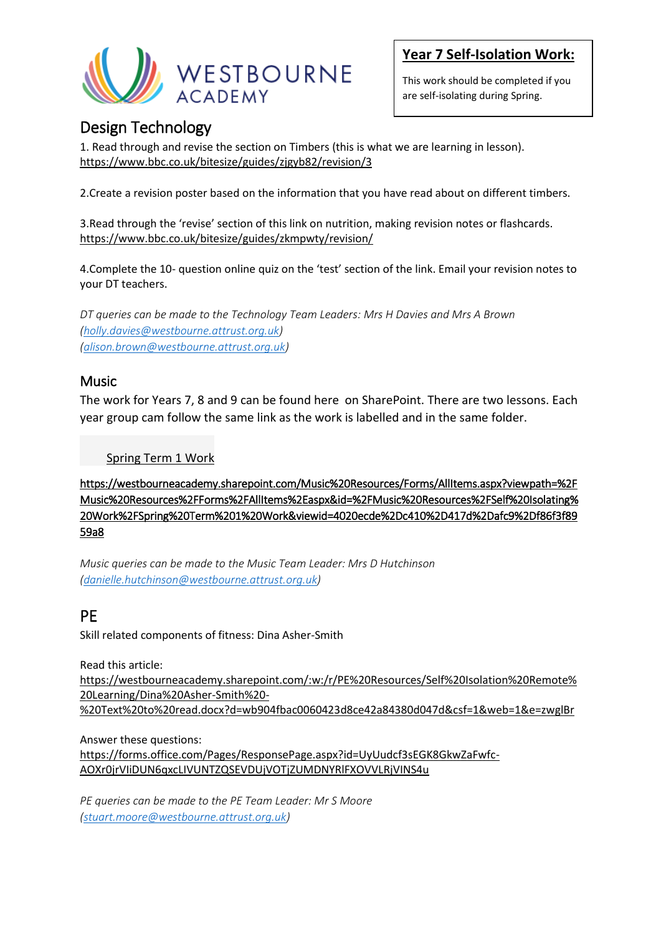

This work should be completed if you are self-isolating during Spring.

## Design Technology

1. Read through and revise the section on Timbers (this is what we are learning in lesson). <https://www.bbc.co.uk/bitesize/guides/zjgyb82/revision/3>

2.Create a revision poster based on the information that you have read about on different timbers.

3.Read through the 'revise' section of this link on nutrition, making revision notes or flashcards. <https://www.bbc.co.uk/bitesize/guides/zkmpwty/revision/>

4.Complete the 10- question online quiz on the 'test' section of the link. Email your revision notes to your DT teachers.

*DT queries can be made to the Technology Team Leaders: Mrs H Davies and Mrs A Brown [\(holly.davies@westbourne.attrust.org.uk\)](mailto:holly.davies@westbourne.attrust.org.uk) [\(alison.brown@westbourne.attrust.org.uk\)](mailto:alison.brown@westbourne.attrust.org.uk)*

#### Music

The work for Years 7, 8 and 9 can be found here on SharePoint. There are two lessons. Each year group cam follow the same link as the work is labelled and in the same folder.

[Spring Term 1 Work](https://westbourneacademy.sharepoint.com/Music%20Resources/Forms/AllItems.aspx?viewpath=%2FMusic%20Resources%2FForms%2FAllItems%2Easpx&id=%2FMusic%20Resources%2FSelf%20Isolating%20Work%2FSpring%20Term%201%20Work&viewid=4020ecde%2Dc410%2D417d%2Dafc9%2Df86f3f8959a8)

https://westbourneacademy.sharepoint.com/Music%20Resources/Forms/AllItems.aspx?viewpath=%2F Music%20Resources%2FForms%2FAllItems%2Easpx&id=%2FMusic%20Resources%2FSelf%20Isolating% 20Work%2FSpring%20Term%201%20Work&viewid=4020ecde%2Dc410%2D417d%2Dafc9%2Df86f3f89 59a8

*Music queries can be made to the Music Team Leader: Mrs D Hutchinson [\(danielle.hutchinson@westbourne.attrust.org.uk\)](mailto:danielle.hutchinson@westbourne.attrust.org.uk)*

# PE

Skill related components of fitness: Dina Asher-Smith

Read this article:

[https://westbourneacademy.sharepoint.com/:w:/r/PE%20Resources/Self%20Isolation%20Remote%](https://westbourneacademy.sharepoint.com/:w:/r/PE%20Resources/Self%20Isolation%20Remote%20Learning/Dina%20Asher-Smith%20-%20Text%20to%20read.docx?d=wb904fbac0060423d8ce42a84380d047d&csf=1&web=1&e=zwglBr) [20Learning/Dina%20Asher-Smith%20-](https://westbourneacademy.sharepoint.com/:w:/r/PE%20Resources/Self%20Isolation%20Remote%20Learning/Dina%20Asher-Smith%20-%20Text%20to%20read.docx?d=wb904fbac0060423d8ce42a84380d047d&csf=1&web=1&e=zwglBr) [%20Text%20to%20read.docx?d=wb904fbac0060423d8ce42a84380d047d&csf=1&web=1&e=zwglBr](https://westbourneacademy.sharepoint.com/:w:/r/PE%20Resources/Self%20Isolation%20Remote%20Learning/Dina%20Asher-Smith%20-%20Text%20to%20read.docx?d=wb904fbac0060423d8ce42a84380d047d&csf=1&web=1&e=zwglBr)

Answer these questions:

[https://forms.office.com/Pages/ResponsePage.aspx?id=UyUudcf3sEGK8GkwZaFwfc-](https://forms.office.com/Pages/ResponsePage.aspx?id=UyUudcf3sEGK8GkwZaFwfc-AOXr0jrVIiDUN6qxcLIVUNTZQSEVDUjVOTjZUMDNYRlFXOVVLRjVINS4u)[AOXr0jrVIiDUN6qxcLIVUNTZQSEVDUjVOTjZUMDNYRlFXOVVLRjVINS4u](https://forms.office.com/Pages/ResponsePage.aspx?id=UyUudcf3sEGK8GkwZaFwfc-AOXr0jrVIiDUN6qxcLIVUNTZQSEVDUjVOTjZUMDNYRlFXOVVLRjVINS4u)

*PE queries can be made to the PE Team Leader: Mr S Moore [\(stuart.moore@westbourne.attrust.org.uk\)](mailto:stuart.moore@westbourne.attrust.org.uk)*